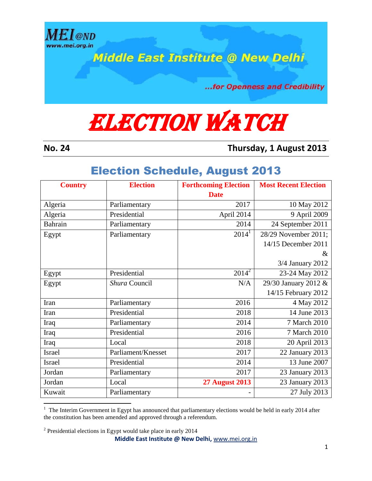

**Middle East Institute @ New Delhi** 

...for Openness and Credibility

## **ELECTION WATCH**

 $\overline{a}$ 

**No. 24 Thursday, 1 August 2013**

## Election Schedule, August 2013

| <b>Country</b> | <b>Election</b>    | <b>Forthcoming Election</b> | <b>Most Recent Election</b> |
|----------------|--------------------|-----------------------------|-----------------------------|
|                |                    | <b>Date</b>                 |                             |
| Algeria        | Parliamentary      | 2017                        | 10 May 2012                 |
| Algeria        | Presidential       | April 2014                  | 9 April 2009                |
| Bahrain        | Parliamentary      | 2014                        | 24 September 2011           |
| Egypt          | Parliamentary      | $2014^1$                    | 28/29 November 2011;        |
|                |                    |                             | 14/15 December 2011         |
|                |                    |                             | &                           |
|                |                    |                             | 3/4 January 2012            |
| Egypt          | Presidential       | $2014^2$                    | 23-24 May 2012              |
| Egypt          | Shura Council      | N/A                         | 29/30 January 2012 &        |
|                |                    |                             | 14/15 February 2012         |
| Iran           | Parliamentary      | 2016                        | 4 May 2012                  |
| Iran           | Presidential       | 2018                        | 14 June 2013                |
| Iraq           | Parliamentary      | 2014                        | 7 March 2010                |
| Iraq           | Presidential       | 2016                        | 7 March 2010                |
| Iraq           | Local              | 2018                        | 20 April 2013               |
| Israel         | Parliament/Knesset | 2017                        | 22 January 2013             |
| <b>Israel</b>  | Presidential       | 2014                        | 13 June 2007                |
| Jordan         | Parliamentary      | 2017                        | 23 January 2013             |
| Jordan         | Local              | <b>27 August 2013</b>       | 23 January 2013             |
| Kuwait         | Parliamentary      |                             | 27 July 2013                |

<sup>1</sup> The Interim Government in Egypt has announced that parliamentary elections would be held in early 2014 after the constitution has been amended and approved through a referendum.

 $2^2$  Presidential elections in Egypt would take place in early 2014

**Middle East Institute @ New Delhi,** www.mei.org.in